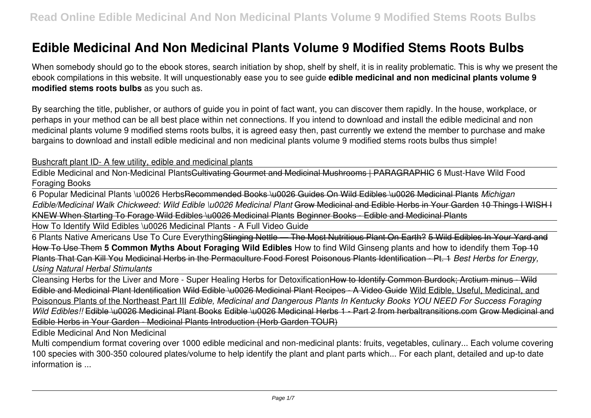## **Edible Medicinal And Non Medicinal Plants Volume 9 Modified Stems Roots Bulbs**

When somebody should go to the ebook stores, search initiation by shop, shelf by shelf, it is in reality problematic. This is why we present the ebook compilations in this website. It will unquestionably ease you to see guide **edible medicinal and non medicinal plants volume 9 modified stems roots bulbs** as you such as.

By searching the title, publisher, or authors of guide you in point of fact want, you can discover them rapidly. In the house, workplace, or perhaps in your method can be all best place within net connections. If you intend to download and install the edible medicinal and non medicinal plants volume 9 modified stems roots bulbs, it is agreed easy then, past currently we extend the member to purchase and make bargains to download and install edible medicinal and non medicinal plants volume 9 modified stems roots bulbs thus simple!

## Bushcraft plant ID- A few utility, edible and medicinal plants

Edible Medicinal and Non-Medicinal PlantsCultivating Gourmet and Medicinal Mushrooms | PARAGRAPHIC 6 Must-Have Wild Food Foraging Books

6 Popular Medicinal Plants \u0026 HerbsRecommended Books \u0026 Guides On Wild Edibles \u0026 Medicinal Plants *Michigan Edible/Medicinal Walk Chickweed: Wild Edible \u0026 Medicinal Plant* Grow Medicinal and Edible Herbs in Your Garden 10 Things I WISH I KNEW When Starting To Forage Wild Edibles \u0026 Medicinal Plants Beginner Books - Edible and Medicinal Plants

How To Identify Wild Edibles \u0026 Medicinal Plants - A Full Video Guide

6 Plants Native Americans Use To Cure EverythingStinging Nettle — The Most Nutritious Plant On Earth? 5 Wild Edibles In Your Yard and How To Use Them **5 Common Myths About Foraging Wild Edibles** How to find Wild Ginseng plants and how to idendify them Top 10 Plants That Can Kill You Medicinal Herbs in the Permaculture Food Forest Poisonous Plants Identification - Pt. 1 *Best Herbs for Energy, Using Natural Herbal Stimulants*

Cleansing Herbs for the Liver and More - Super Healing Herbs for DetoxificationHow to Identify Common Burdock; Arctium minus - Wild Edible and Medicinal Plant Identification Wild Edible \u0026 Medicinal Plant Recipes - A Video Guide Wild Edible, Useful, Medicinal, and Poisonous Plants of the Northeast Part III *Edible, Medicinal and Dangerous Plants In Kentucky Books YOU NEED For Success Foraging Wild Edibles!!* Edible \u0026 Medicinal Plant Books Edible \u0026 Medicinal Herbs 1 - Part 2 from herbaltransitions.com Grow Medicinal and Edible Herbs in Your Garden - Medicinal Plants Introduction (Herb Garden TOUR)

Edible Medicinal And Non Medicinal

Multi compendium format covering over 1000 edible medicinal and non-medicinal plants: fruits, vegetables, culinary... Each volume covering 100 species with 300-350 coloured plates/volume to help identify the plant and plant parts which... For each plant, detailed and up-to date information is ...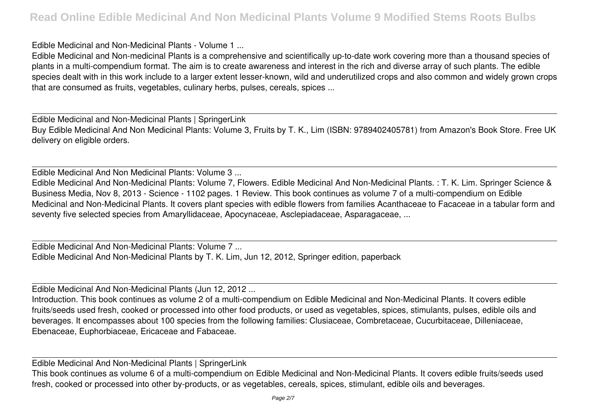Edible Medicinal and Non-Medicinal Plants - Volume 1 ...

Edible Medicinal and Non-medicinal Plants is a comprehensive and scientifically up-to-date work covering more than a thousand species of plants in a multi-compendium format. The aim is to create awareness and interest in the rich and diverse array of such plants. The edible species dealt with in this work include to a larger extent lesser-known, wild and underutilized crops and also common and widely grown crops that are consumed as fruits, vegetables, culinary herbs, pulses, cereals, spices ...

Edible Medicinal and Non-Medicinal Plants | SpringerLink Buy Edible Medicinal And Non Medicinal Plants: Volume 3, Fruits by T. K., Lim (ISBN: 9789402405781) from Amazon's Book Store. Free UK delivery on eligible orders.

Edible Medicinal And Non Medicinal Plants: Volume 3 ...

Edible Medicinal And Non-Medicinal Plants: Volume 7, Flowers. Edible Medicinal And Non-Medicinal Plants. : T. K. Lim. Springer Science & Business Media, Nov 8, 2013 - Science - 1102 pages. 1 Review. This book continues as volume 7 of a multi-compendium on Edible Medicinal and Non-Medicinal Plants. It covers plant species with edible flowers from families Acanthaceae to Facaceae in a tabular form and seventy five selected species from Amaryllidaceae, Apocynaceae, Asclepiadaceae, Asparagaceae, ...

Edible Medicinal And Non-Medicinal Plants: Volume 7 ... Edible Medicinal And Non-Medicinal Plants by T. K. Lim, Jun 12, 2012, Springer edition, paperback

Edible Medicinal And Non-Medicinal Plants (Jun 12, 2012 ...

Introduction. This book continues as volume 2 of a multi-compendium on Edible Medicinal and Non-Medicinal Plants. It covers edible fruits/seeds used fresh, cooked or processed into other food products, or used as vegetables, spices, stimulants, pulses, edible oils and beverages. It encompasses about 100 species from the following families: Clusiaceae, Combretaceae, Cucurbitaceae, Dilleniaceae, Ebenaceae, Euphorbiaceae, Ericaceae and Fabaceae.

Edible Medicinal And Non-Medicinal Plants | SpringerLink

This book continues as volume 6 of a multi-compendium on Edible Medicinal and Non-Medicinal Plants. It covers edible fruits/seeds used fresh, cooked or processed into other by-products, or as vegetables, cereals, spices, stimulant, edible oils and beverages.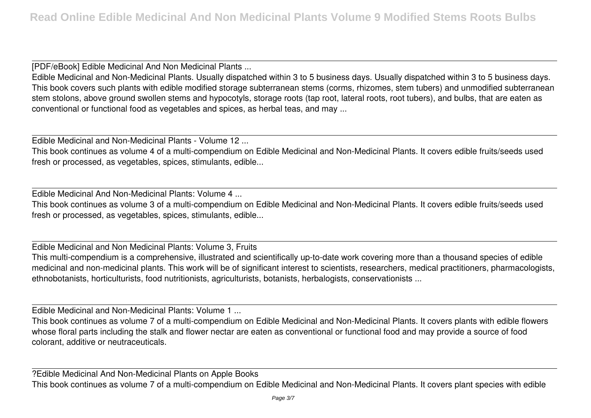[PDF/eBook] Edible Medicinal And Non Medicinal Plants ...

Edible Medicinal and Non-Medicinal Plants. Usually dispatched within 3 to 5 business days. Usually dispatched within 3 to 5 business days. This book covers such plants with edible modified storage subterranean stems (corms, rhizomes, stem tubers) and unmodified subterranean stem stolons, above ground swollen stems and hypocotyls, storage roots (tap root, lateral roots, root tubers), and bulbs, that are eaten as conventional or functional food as vegetables and spices, as herbal teas, and may ...

Edible Medicinal and Non-Medicinal Plants - Volume 12 ...

This book continues as volume 4 of a multi-compendium on Edible Medicinal and Non-Medicinal Plants. It covers edible fruits/seeds used fresh or processed, as vegetables, spices, stimulants, edible...

Edible Medicinal And Non-Medicinal Plants: Volume 4 ...

This book continues as volume 3 of a multi-compendium on Edible Medicinal and Non-Medicinal Plants. It covers edible fruits/seeds used fresh or processed, as vegetables, spices, stimulants, edible...

Edible Medicinal and Non Medicinal Plants: Volume 3, Fruits

This multi-compendium is a comprehensive, illustrated and scientifically up-to-date work covering more than a thousand species of edible medicinal and non-medicinal plants. This work will be of significant interest to scientists, researchers, medical practitioners, pharmacologists, ethnobotanists, horticulturists, food nutritionists, agriculturists, botanists, herbalogists, conservationists ...

Edible Medicinal and Non-Medicinal Plants: Volume 1 ...

This book continues as volume 7 of a multi-compendium on Edible Medicinal and Non-Medicinal Plants. It covers plants with edible flowers whose floral parts including the stalk and flower nectar are eaten as conventional or functional food and may provide a source of food colorant, additive or neutraceuticals.

?Edible Medicinal And Non-Medicinal Plants on Apple Books This book continues as volume 7 of a multi-compendium on Edible Medicinal and Non-Medicinal Plants. It covers plant species with edible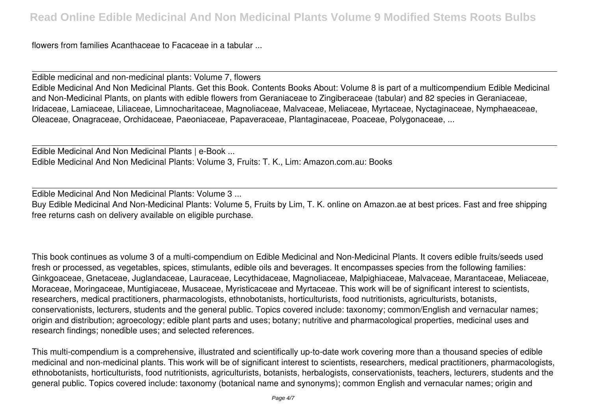flowers from families Acanthaceae to Facaceae in a tabular ...

Edible medicinal and non-medicinal plants: Volume 7, flowers Edible Medicinal And Non Medicinal Plants. Get this Book. Contents Books About: Volume 8 is part of a multicompendium Edible Medicinal and Non-Medicinal Plants, on plants with edible flowers from Geraniaceae to Zingiberaceae (tabular) and 82 species in Geraniaceae, Iridaceae, Lamiaceae, Liliaceae, Limnocharitaceae, Magnoliaceae, Malvaceae, Meliaceae, Myrtaceae, Nyctaginaceae, Nymphaeaceae, Oleaceae, Onagraceae, Orchidaceae, Paeoniaceae, Papaveraceae, Plantaginaceae, Poaceae, Polygonaceae, ...

Edible Medicinal And Non Medicinal Plants | e-Book ... Edible Medicinal And Non Medicinal Plants: Volume 3, Fruits: T. K., Lim: Amazon.com.au: Books

Edible Medicinal And Non Medicinal Plants: Volume 3 ... Buy Edible Medicinal And Non-Medicinal Plants: Volume 5, Fruits by Lim, T. K. online on Amazon.ae at best prices. Fast and free shipping free returns cash on delivery available on eligible purchase.

This book continues as volume 3 of a multi-compendium on Edible Medicinal and Non-Medicinal Plants. It covers edible fruits/seeds used fresh or processed, as vegetables, spices, stimulants, edible oils and beverages. It encompasses species from the following families: Ginkgoaceae, Gnetaceae, Juglandaceae, Lauraceae, Lecythidaceae, Magnoliaceae, Malpighiaceae, Malvaceae, Marantaceae, Meliaceae, Moraceae, Moringaceae, Muntigiaceae, Musaceae, Myristicaceae and Myrtaceae. This work will be of significant interest to scientists, researchers, medical practitioners, pharmacologists, ethnobotanists, horticulturists, food nutritionists, agriculturists, botanists, conservationists, lecturers, students and the general public. Topics covered include: taxonomy; common/English and vernacular names; origin and distribution; agroecology; edible plant parts and uses; botany; nutritive and pharmacological properties, medicinal uses and research findings; nonedible uses; and selected references.

This multi-compendium is a comprehensive, illustrated and scientifically up-to-date work covering more than a thousand species of edible medicinal and non-medicinal plants. This work will be of significant interest to scientists, researchers, medical practitioners, pharmacologists, ethnobotanists, horticulturists, food nutritionists, agriculturists, botanists, herbalogists, conservationists, teachers, lecturers, students and the general public. Topics covered include: taxonomy (botanical name and synonyms); common English and vernacular names; origin and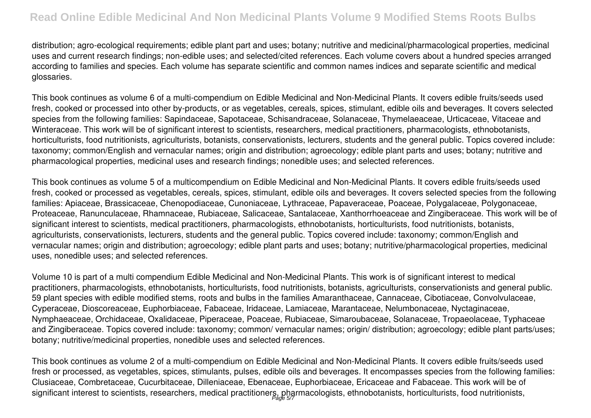distribution; agro-ecological requirements; edible plant part and uses; botany; nutritive and medicinal/pharmacological properties, medicinal uses and current research findings; non-edible uses; and selected/cited references. Each volume covers about a hundred species arranged according to families and species. Each volume has separate scientific and common names indices and separate scientific and medical glossaries.

This book continues as volume 6 of a multi-compendium on Edible Medicinal and Non-Medicinal Plants. It covers edible fruits/seeds used fresh, cooked or processed into other by-products, or as vegetables, cereals, spices, stimulant, edible oils and beverages. It covers selected species from the following families: Sapindaceae, Sapotaceae, Schisandraceae, Solanaceae, Thymelaeaceae, Urticaceae, Vitaceae and Winteraceae. This work will be of significant interest to scientists, researchers, medical practitioners, pharmacologists, ethnobotanists, horticulturists, food nutritionists, agriculturists, botanists, conservationists, lecturers, students and the general public. Topics covered include: taxonomy; common/English and vernacular names; origin and distribution; agroecology; edible plant parts and uses; botany; nutritive and pharmacological properties, medicinal uses and research findings; nonedible uses; and selected references.

This book continues as volume 5 of a multicompendium on Edible Medicinal and Non-Medicinal Plants. It covers edible fruits/seeds used fresh, cooked or processed as vegetables, cereals, spices, stimulant, edible oils and beverages. It covers selected species from the following families: Apiaceae, Brassicaceae, Chenopodiaceae, Cunoniaceae, Lythraceae, Papaveraceae, Poaceae, Polygalaceae, Polygonaceae, Proteaceae, Ranunculaceae, Rhamnaceae, Rubiaceae, Salicaceae, Santalaceae, Xanthorrhoeaceae and Zingiberaceae. This work will be of significant interest to scientists, medical practitioners, pharmacologists, ethnobotanists, horticulturists, food nutritionists, botanists, agriculturists, conservationists, lecturers, students and the general public. Topics covered include: taxonomy; common/English and vernacular names; origin and distribution; agroecology; edible plant parts and uses; botany; nutritive/pharmacological properties, medicinal uses, nonedible uses; and selected references.

Volume 10 is part of a multi compendium Edible Medicinal and Non-Medicinal Plants. This work is of significant interest to medical practitioners, pharmacologists, ethnobotanists, horticulturists, food nutritionists, botanists, agriculturists, conservationists and general public. 59 plant species with edible modified stems, roots and bulbs in the families Amaranthaceae, Cannaceae, Cibotiaceae, Convolvulaceae, Cyperaceae, Dioscoreaceae, Euphorbiaceae, Fabaceae, Iridaceae, Lamiaceae, Marantaceae, Nelumbonaceae, Nyctaginaceae, Nymphaeaceae, Orchidaceae, Oxalidaceae, Piperaceae, Poaceae, Rubiaceae, Simaroubaceae, Solanaceae, Tropaeolaceae, Typhaceae and Zingiberaceae. Topics covered include: taxonomy; common/ vernacular names; origin/ distribution; agroecology; edible plant parts/uses; botany; nutritive/medicinal properties, nonedible uses and selected references.

This book continues as volume 2 of a multi-compendium on Edible Medicinal and Non-Medicinal Plants. It covers edible fruits/seeds used fresh or processed, as vegetables, spices, stimulants, pulses, edible oils and beverages. It encompasses species from the following families: Clusiaceae, Combretaceae, Cucurbitaceae, Dilleniaceae, Ebenaceae, Euphorbiaceae, Ericaceae and Fabaceae. This work will be of significant interest to scientists, researchers, medical practitioners, pharmacologists, ethnobotanists, horticulturists, food nutritionists,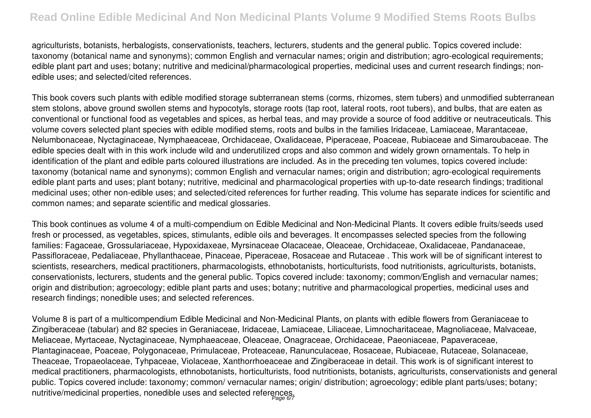agriculturists, botanists, herbalogists, conservationists, teachers, lecturers, students and the general public. Topics covered include: taxonomy (botanical name and synonyms); common English and vernacular names; origin and distribution; agro-ecological requirements; edible plant part and uses; botany; nutritive and medicinal/pharmacological properties, medicinal uses and current research findings; nonedible uses; and selected/cited references.

This book covers such plants with edible modified storage subterranean stems (corms, rhizomes, stem tubers) and unmodified subterranean stem stolons, above ground swollen stems and hypocotyls, storage roots (tap root, lateral roots, root tubers), and bulbs, that are eaten as conventional or functional food as vegetables and spices, as herbal teas, and may provide a source of food additive or neutraceuticals. This volume covers selected plant species with edible modified stems, roots and bulbs in the families Iridaceae, Lamiaceae, Marantaceae, Nelumbonaceae, Nyctaginaceae, Nymphaeaceae, Orchidaceae, Oxalidaceae, Piperaceae, Poaceae, Rubiaceae and Simaroubaceae. The edible species dealt with in this work include wild and underutilized crops and also common and widely grown ornamentals. To help in identification of the plant and edible parts coloured illustrations are included. As in the preceding ten volumes, topics covered include: taxonomy (botanical name and synonyms); common English and vernacular names; origin and distribution; agro-ecological requirements edible plant parts and uses; plant botany; nutritive, medicinal and pharmacological properties with up-to-date research findings; traditional medicinal uses; other non-edible uses; and selected/cited references for further reading. This volume has separate indices for scientific and common names; and separate scientific and medical glossaries.

This book continues as volume 4 of a multi-compendium on Edible Medicinal and Non-Medicinal Plants. It covers edible fruits/seeds used fresh or processed, as vegetables, spices, stimulants, edible oils and beverages. It encompasses selected species from the following families: Fagaceae, Grossulariaceae, Hypoxidaxeae, Myrsinaceae Olacaceae, Oleaceae, Orchidaceae, Oxalidaceae, Pandanaceae, Passifloraceae, Pedaliaceae, Phyllanthaceae, Pinaceae, Piperaceae, Rosaceae and Rutaceae . This work will be of significant interest to scientists, researchers, medical practitioners, pharmacologists, ethnobotanists, horticulturists, food nutritionists, agriculturists, botanists, conservationists, lecturers, students and the general public. Topics covered include: taxonomy; common/English and vernacular names; origin and distribution; agroecology; edible plant parts and uses; botany; nutritive and pharmacological properties, medicinal uses and research findings; nonedible uses; and selected references.

Volume 8 is part of a multicompendium Edible Medicinal and Non-Medicinal Plants, on plants with edible flowers from Geraniaceae to Zingiberaceae (tabular) and 82 species in Geraniaceae, Iridaceae, Lamiaceae, Liliaceae, Limnocharitaceae, Magnoliaceae, Malvaceae, Meliaceae, Myrtaceae, Nyctaginaceae, Nymphaeaceae, Oleaceae, Onagraceae, Orchidaceae, Paeoniaceae, Papaveraceae, Plantaginaceae, Poaceae, Polygonaceae, Primulaceae, Proteaceae, Ranunculaceae, Rosaceae, Rubiaceae, Rutaceae, Solanaceae, Theaceae, Tropaeolaceae, Tyhpaceae, Violaceae, Xanthorrhoeaceae and Zingiberaceae in detail. This work is of significant interest to medical practitioners, pharmacologists, ethnobotanists, horticulturists, food nutritionists, botanists, agriculturists, conservationists and general public. Topics covered include: taxonomy; common/ vernacular names; origin/ distribution; agroecology; edible plant parts/uses; botany; nutritive/medicinal properties, nonedible uses and selected references.